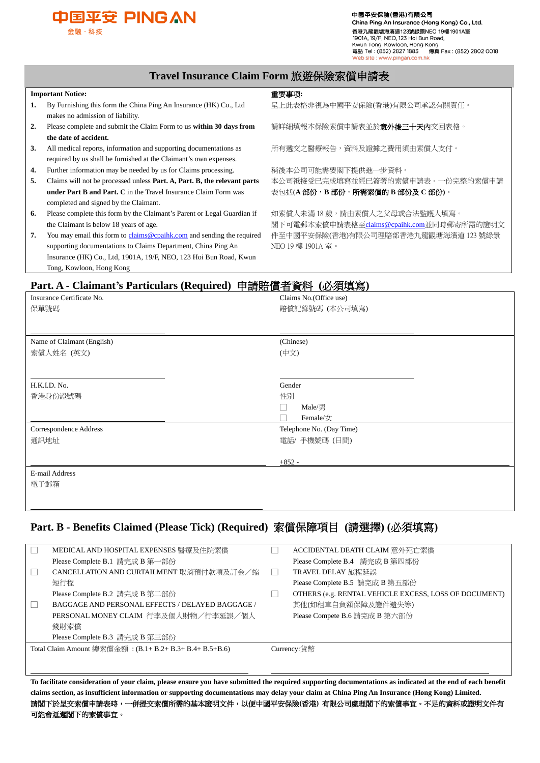

中國平安保險(香港)有限公司 China Ping An Insurance (Hong Kong) Co., Ltd. 香港九龍觀塘海濱道123號綠景NEO 19樓1901A室 1901A, 19/F, NEO, 123 Hoi Bun Road, Kwun Tong, Kowloon, Hong Kong<br>電話 Tel: (852) 2827 1883 傳真 Fax: (852) 2802 0018 site : www.pingan.com.h<mark>k</mark>

#### **Travel Insurance Claim Form** 旅遊保險索償申請表

#### **Important Notice:** 重要事项**:**

 $\overline{a}$ 

- **1.** By Furnishing this form the China Ping An Insurance (HK) Co., Ltd makes no admission of liability.
- **2.** Please complete and submit the Claim Form to us **within 30 days from the date of accident.**
- **3.** All medical reports, information and supporting documentations as required by us shall be furnished at the Claimant's own expenses.
- **4.** Further information may be needed by us for Claims processing.
- **5.** Claims will not be processed unless **Part. A, Part. B, the relevant parts under Part B and Part. C** in the Travel Insurance Claim Form was completed and signed by the Claimant.
- **6.** Please complete this form by the Claimant's Parent or Legal Guardian if the Claimant is below 18 years of age.
- **7.** You may email this form t[o claims@cpaihk.com](mailto:claims@cpaihk.com) and sending the required supporting documentations to Claims Department, China Ping An Insurance (HK) Co., Ltd, 1901A, 19/F, NEO, 123 Hoi Bun Road, Kwun Tong, Kowloon, Hong Kong

呈上此表格非視為中國平安保險(香港)有限公司承認有關責任。

請詳細填報本保險索償申請表並於**意外後三十天內**交回表格。

所有遞交之醫療報告,資料及證據之費用須由索償人支付。

稍後本公司可能需要閣下提供進一步資料。 本公司祗接受已完成填寫並經已簽署的索償申請表。一份完整的索償申請 表包括(**A** 部份,**B** 部份,所需索償的 **B** 部份及 **C** 部份**)**。

如索償人未滿 18 歲,請由索償人之父母或合法監護人填寫。 閣下可電郵本索償申請表格至[claims@cpaihk.com](mailto:claims@cpaihk.com)並同時郵寄所需的證明文 件至中國平安保險(香港)有限公司理賠部香港九龍觀塘海濱道 123 號綠景 NEO 19 樓 1901A 室。

# **Part. A - Claimant's Particulars (Required)** 申請賠償者資料 **(**必須填寫**)**

| Insurance Certificate No.  | Claims No. (Office use)  |
|----------------------------|--------------------------|
| 保單號碼                       | 賠償記錄號碼 (本公司填寫)           |
|                            |                          |
|                            |                          |
| Name of Claimant (English) | (Chinese)                |
| 索償人姓名 (英文)                 | (中文)                     |
|                            |                          |
|                            |                          |
| H.K.I.D. No.               | Gender                   |
| 香港身份證號碼                    | 性別                       |
|                            | Male/男<br>$\mathbf{I}$   |
|                            | Female/女                 |
| Correspondence Address     | Telephone No. (Day Time) |
| 通訊地址                       | 電話/手機號碼 (日間)             |
|                            |                          |
|                            | $+852-$                  |
| E-mail Address             |                          |
| 電子郵箱                       |                          |
|                            |                          |
|                            |                          |

### **Part. B - Benefits Claimed (Please Tick) (Required)** 索償保障項目 **(**請選擇**) (**必須填寫**)**

| MEDICAL AND HOSPITAL EXPENSES 醫療及住院索償                    | ACCIDENTAL DEATH CLAIM 意外死亡索償                         |
|----------------------------------------------------------|-------------------------------------------------------|
| Please Complete B.1 請完成 B 第一部份                           | Please Complete B.4 請完成 B 第四部份                        |
| CANCELLATION AND CURTAILMENT 取消預付款項及訂金/縮                 | TRAVEL DELAY 旅程延誤                                     |
| 短行程                                                      | Please Complete B.5 請完成 B 第五部份                        |
| Please Complete B.2 請完成 B 第二部份                           | OTHERS (e.g. RENTAL VEHICLE EXCESS, LOSS OF DOCUMENT) |
| BAGGAGE AND PERSONAL EFFECTS / DELAYED BAGGAGE /         | 其他(如租車自負額保障及證件遺失等)                                    |
| PERSONAL MONEY CLAIM 行李及個人財物/行李延誤/個人                     | Please Compete B.6 請完成 B 第六部份                         |
| 錢財索償                                                     |                                                       |
| Please Complete B.3 請完成 B 第三部份                           |                                                       |
| Total Claim Amount 總索償金額 : (B.1+ B.2+ B.3+ B.4+ B.5+B.6) | Currency:貨幣                                           |
|                                                          |                                                       |
|                                                          |                                                       |

**To facilitate consideration of your claim, please ensure you have submitted the required supporting documentations as indicated at the end of each benefit claims section, as insufficient information or supporting documentations may delay your claim at China Ping An Insurance (Hong Kong) Limited.** 請閣下於呈交索償申請表時,一併提交索償所需的基本證明文件,以便中國平安保險**(**香港**)** 有限公司處理閣下的索償事宜。不足的資料或證明文件有 可能會延遲閣下的索償事宜。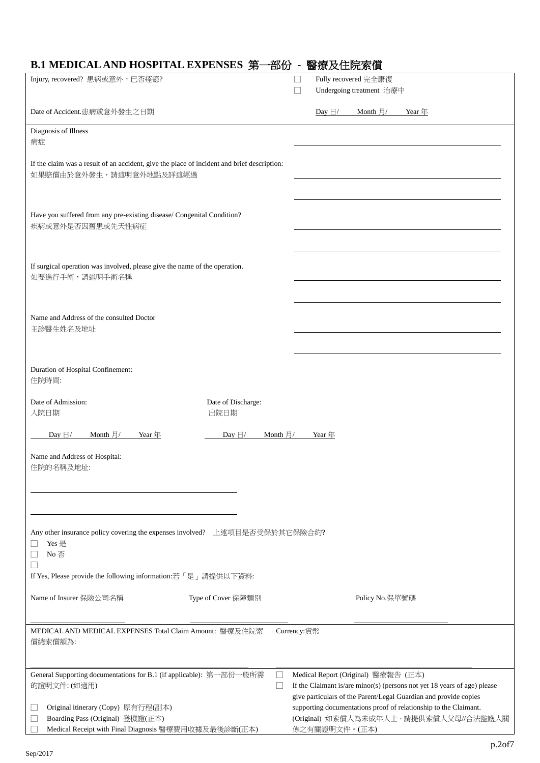| Injury, recovered? 患病或意外,已否痊癒?                                                               | Fully recovered 完全康復<br>∟                                                                                                            |
|----------------------------------------------------------------------------------------------|--------------------------------------------------------------------------------------------------------------------------------------|
|                                                                                              | Undergoing treatment 治療中<br>П                                                                                                        |
| Date of Accident.患病或意外發生之日期                                                                  | Day $\boxminus$ / Month $\boxminus$ / Year $\text{F}$                                                                                |
| Diagnosis of Illness<br>病症                                                                   |                                                                                                                                      |
|                                                                                              |                                                                                                                                      |
| If the claim was a result of an accident, give the place of incident and brief description:  |                                                                                                                                      |
| 如果賠償由於意外發生,請述明意外地點及詳述經過                                                                      |                                                                                                                                      |
| Have you suffered from any pre-existing disease/ Congenital Condition?<br>疾病或意外是否因舊患或先天性病症   |                                                                                                                                      |
| If surgical operation was involved, please give the name of the operation.<br>如要進行手術,請述明手術名稱 |                                                                                                                                      |
| Name and Address of the consulted Doctor                                                     |                                                                                                                                      |
| 主診醫生姓名及地址                                                                                    |                                                                                                                                      |
|                                                                                              |                                                                                                                                      |
| Duration of Hospital Confinement:<br>住院時間:                                                   |                                                                                                                                      |
| Date of Admission:<br>Date of Discharge:                                                     |                                                                                                                                      |
| 入院日期<br>出院日期                                                                                 |                                                                                                                                      |
| Day $\boxdot/$ Month $\boxdot/$<br>Year $#$<br>Day $\boxdot/$                                | Month $\overline{H}/$<br>Year $#$                                                                                                    |
| Name and Address of Hospital:<br>住院的名稱及地址:                                                   |                                                                                                                                      |
|                                                                                              |                                                                                                                                      |
| Any other insurance policy covering the expenses involved? 上述項目是否受保於其它保險合約?<br>Yes 是<br>No否  |                                                                                                                                      |
| If Yes, Please provide the following information:若「是」請提供以下資料:                                |                                                                                                                                      |
|                                                                                              |                                                                                                                                      |
| Name of Insurer 保險公司名稱<br>Type of Cover 保障類別                                                 | Policy No.保單號碼                                                                                                                       |
| MEDICAL AND MEDICAL EXPENSES Total Claim Amount: 醫療及住院索<br>償總索償額為:                           | Currency:貨幣                                                                                                                          |
| General Supporting documentations for B.1 (if applicable): 第一部份一般所需<br>的證明文件: (如適用)          | Medical Report (Original) 醫療報告 (正本)<br>If the Claimant is/are minor(s) (persons not yet 18 years of age) please                      |
| Original itinerary (Copy) 原有行程(副本)                                                           | give particulars of the Parent/Legal Guardian and provide copies<br>supporting documentations proof of relationship to the Claimant. |
| Boarding Pass (Original) 登機證(正本)                                                             | (Original) 如索償人為未成年人士,請提供索償人父母//合法監護人關                                                                                               |
| Medical Receipt with Final Diagnosis 醫療費用收據及最後診斷(正本)                                         | 係之有關證明文件。(正本)                                                                                                                        |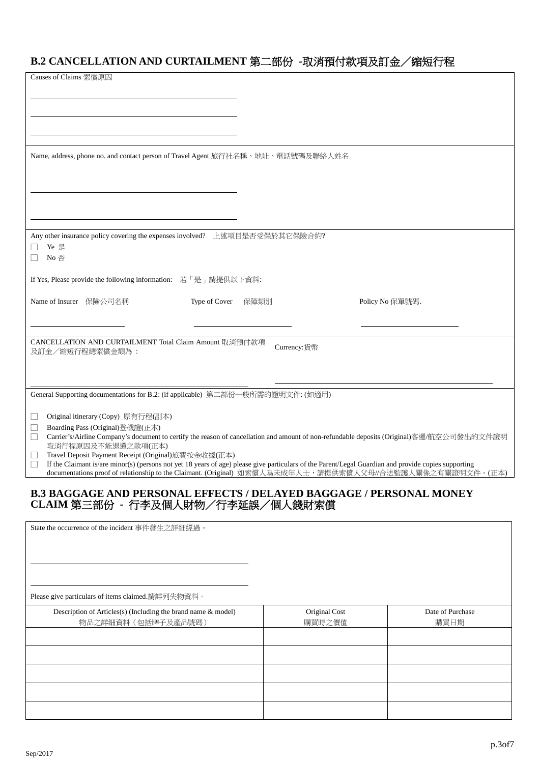# **B.2 CANCELLATION AND CURTAILMENT** 第二部份 **-**取消預付款項及訂金/縮短行程

| Causes of Claims 索償原因                                                                                                                                                                                                                                                             |             |                 |
|-----------------------------------------------------------------------------------------------------------------------------------------------------------------------------------------------------------------------------------------------------------------------------------|-------------|-----------------|
|                                                                                                                                                                                                                                                                                   |             |                 |
|                                                                                                                                                                                                                                                                                   |             |                 |
|                                                                                                                                                                                                                                                                                   |             |                 |
|                                                                                                                                                                                                                                                                                   |             |                 |
|                                                                                                                                                                                                                                                                                   |             |                 |
|                                                                                                                                                                                                                                                                                   |             |                 |
| Name, address, phone no. and contact person of Travel Agent 旅行社名稱、地址、電話號碼及聯絡人姓名                                                                                                                                                                                                   |             |                 |
|                                                                                                                                                                                                                                                                                   |             |                 |
|                                                                                                                                                                                                                                                                                   |             |                 |
|                                                                                                                                                                                                                                                                                   |             |                 |
|                                                                                                                                                                                                                                                                                   |             |                 |
|                                                                                                                                                                                                                                                                                   |             |                 |
|                                                                                                                                                                                                                                                                                   |             |                 |
| Any other insurance policy covering the expenses involved? 上述項目是否受保於其它保險合約?                                                                                                                                                                                                       |             |                 |
| Ye 是                                                                                                                                                                                                                                                                              |             |                 |
| No 否                                                                                                                                                                                                                                                                              |             |                 |
|                                                                                                                                                                                                                                                                                   |             |                 |
| If Yes, Please provide the following information: 若「是」請提供以下資料:                                                                                                                                                                                                                    |             |                 |
| Name of Insurer 保險公司名稱<br>Type of Cover                                                                                                                                                                                                                                           | 保障類別        | Policy No 保單號碼. |
|                                                                                                                                                                                                                                                                                   |             |                 |
|                                                                                                                                                                                                                                                                                   |             |                 |
|                                                                                                                                                                                                                                                                                   |             |                 |
| CANCELLATION AND CURTAILMENT Total Claim Amount 取消預付款項                                                                                                                                                                                                                            | Currency:貨幣 |                 |
| 及訂金/縮短行程總索償金額為:                                                                                                                                                                                                                                                                   |             |                 |
|                                                                                                                                                                                                                                                                                   |             |                 |
|                                                                                                                                                                                                                                                                                   |             |                 |
| General Supporting documentations for B.2: (if applicable) 第二部份一般所需的證明文件: (如適用)                                                                                                                                                                                                   |             |                 |
|                                                                                                                                                                                                                                                                                   |             |                 |
| Original itinerary (Copy) 原有行程(副本)<br>ப                                                                                                                                                                                                                                           |             |                 |
| Boarding Pass (Original)登機證(正本)<br>$\Box$                                                                                                                                                                                                                                         |             |                 |
| Carrier's/Airline Company's document to certify the reason of cancellation and amount of non-refundable deposits (Original)客運/航空公司發出的文件證明<br>$\vert \ \ \vert$                                                                                                                    |             |                 |
| 取消行程原因及不能退還之款項(正本)                                                                                                                                                                                                                                                                |             |                 |
| Travel Deposit Payment Receipt (Original)旅費按金收據(正本)<br>ப                                                                                                                                                                                                                          |             |                 |
| If the Claimant is/are minor(s) (persons not yet 18 years of age) please give particulars of the Parent/Legal Guardian and provide copies supporting<br>$\mathbf{L}$<br>documentations proof of relationship to the Claimant. (Original) 如索償人為未成年人士,請提供索償人父母//合法監護人關係之有關證明文件。(正本) |             |                 |
|                                                                                                                                                                                                                                                                                   |             |                 |

## **B.3 BAGGAGE AND PERSONAL EFFECTS / DELAYED BAGGAGE / PERSONAL MONEY CLAIM** 第三部份 **-** 行李及個人財物/行李延誤/個人錢財索償

| State the occurrence of the incident 事件發生之詳細經過。               |               |                  |
|---------------------------------------------------------------|---------------|------------------|
| Please give particulars of items claimed.請詳列失物資料。             |               |                  |
| Description of Articles(s) (Including the brand name & model) | Original Cost | Date of Purchase |
| 物品之詳細資料(包括牌子及產品號碼)                                            | 購買時之價值        | 購買日期             |
|                                                               |               |                  |
|                                                               |               |                  |
|                                                               |               |                  |
|                                                               |               |                  |
|                                                               |               |                  |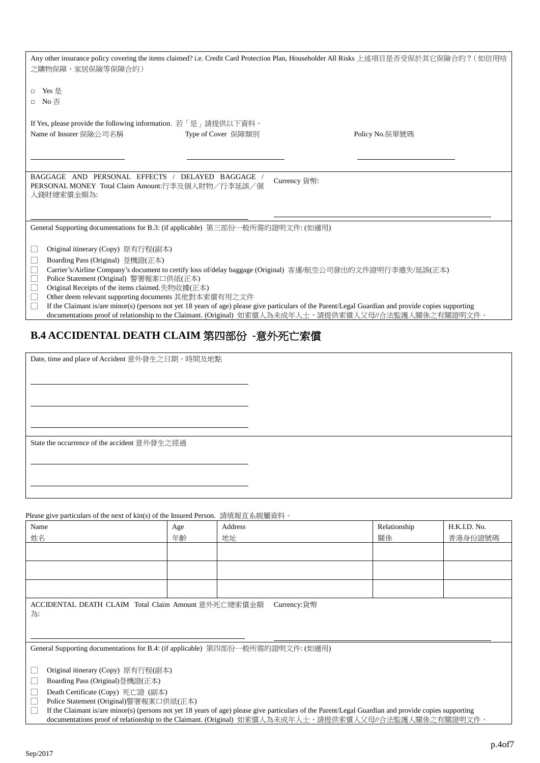| 之購物保障、家居保險等保障合約)<br>□ Yes 是<br>□ No 否                                                                                                                                                                                                                                                                                                                                                                                                                                                                                                                                                                                                   |  | Any other insurance policy covering the items claimed? i.e. Credit Card Protection Plan, Householder All Risks 上述項目是否受保於其它保險合約? (如信用咭 |  |  |
|-----------------------------------------------------------------------------------------------------------------------------------------------------------------------------------------------------------------------------------------------------------------------------------------------------------------------------------------------------------------------------------------------------------------------------------------------------------------------------------------------------------------------------------------------------------------------------------------------------------------------------------------|--|---------------------------------------------------------------------------------------------------------------------------------------|--|--|
| If Yes, please provide the following information. 若「是」請提供以下資料。<br>Name of Insurer 保險公司名稱<br>Type of Cover 保障類別<br>Policy No.保單號碼                                                                                                                                                                                                                                                                                                                                                                                                                                                                                                        |  |                                                                                                                                       |  |  |
| BAGGAGE AND PERSONAL EFFECTS / DELAYED BAGGAGE<br>Currency 貨幣:<br>PERSONAL MONEY Total Claim Amount:行李及個人財物/行李延誤/個<br>人錢財總索償金額為:                                                                                                                                                                                                                                                                                                                                                                                                                                                                                                        |  |                                                                                                                                       |  |  |
| General Supporting documentations for B.3: (if applicable) 第三部份一般所需的證明文件: (如適用)<br>Original itinerary (Copy) 原有行程(副本)<br>Boarding Pass (Original) 登機證(正本)<br>L<br>$\Box$<br>Carrier's/Airline Company's document to certify loss of/delay baggage (Original) 客運/航空公司發出的文件證明行李遣失/延誤(正本)<br>Police Statement (Original) 警署報案口供紙(正本)<br>$\Box$<br>$\Box$<br>Original Receipts of the items claimed.失物收據(正本)<br>$\Box$<br>Other deem relevant supporting documents 其他對本索償有用之文件<br>П<br>If the Claimant is/are minor(s) (persons not yet 18 years of age) please give particulars of the Parent/Legal Guardian and provide copies supporting |  |                                                                                                                                       |  |  |
|                                                                                                                                                                                                                                                                                                                                                                                                                                                                                                                                                                                                                                         |  | documentations proof of relationship to the Claimant. (Original) 如索償人為未成年人士,請提供索償人父母//合法監護人關係之有關證明文件。                                 |  |  |

# **B.4 ACCIDENTAL DEATH CLAIM** 第四部份 **-**意外死亡索償

Date, time and place of Accident 意外發生之日期、時間及地點

State the occurrence of the accident 意外發生之經過

 $\alpha$ f kin(s) of the Insured Person. 請捕報直多組屬咨料。

| Ficase give particulars of the next of Kin(s) of the mistriculate son. 調學報且系統屬具性 *                                                                   |     |         |              |              |
|------------------------------------------------------------------------------------------------------------------------------------------------------|-----|---------|--------------|--------------|
| Name                                                                                                                                                 | Age | Address | Relationship | H.K.I.D. No. |
| 姓名                                                                                                                                                   | 年齡  | 地址      | 關係           | 香港身份證號碼      |
|                                                                                                                                                      |     |         |              |              |
|                                                                                                                                                      |     |         |              |              |
|                                                                                                                                                      |     |         |              |              |
| Currency:貨幣<br>ACCIDENTAL DEATH CLAIM Total Claim Amount 意外死亡總索償金額<br>為:                                                                             |     |         |              |              |
| General Supporting documentations for B.4: (if applicable) 第四部份一般所需的證明文件: (如適用)                                                                      |     |         |              |              |
| Original itinerary (Copy) 原有行程(副本)<br>Ш                                                                                                              |     |         |              |              |
| Boarding Pass (Original)登機證(正本)<br>$\Box$                                                                                                            |     |         |              |              |
| $\Box$<br>Death Certificate (Copy) 死亡證 (副本)                                                                                                          |     |         |              |              |
| П<br>Police Statement (Original)警署報案口供紙(正本)                                                                                                          |     |         |              |              |
| If the Claimant is/are minor(s) (persons not yet 18 years of age) please give particulars of the Parent/Legal Guardian and provide copies supporting |     |         |              |              |

documentations proof of relationship to the Claimant. (Original) 如索償人為未成年人士,請提供索償人父母//合法監護人關係之有關證明文件。

Sep/2017

 $\overline{a}$ 

 $\overline{a}$ 

 $\overline{a}$ 

 $\overline{a}$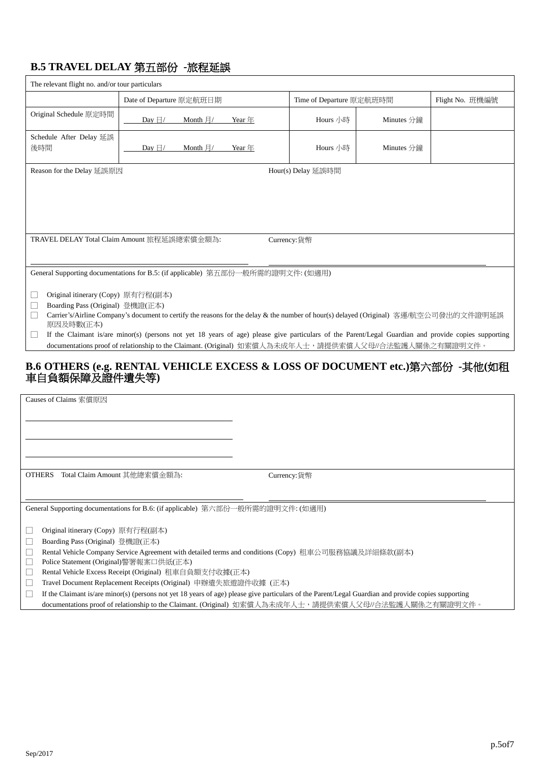# **B.5 TRAVEL DELAY** 第五部份 **-**旅程延誤

| The relevant flight no. and/or tour particulars                                                                                                                                                                                                                                                                                                                                                                                                                                                                                                                                                                                                                                                                    |                                                                                                                                                                                                                                                   |          |                          |            |                 |
|--------------------------------------------------------------------------------------------------------------------------------------------------------------------------------------------------------------------------------------------------------------------------------------------------------------------------------------------------------------------------------------------------------------------------------------------------------------------------------------------------------------------------------------------------------------------------------------------------------------------------------------------------------------------------------------------------------------------|---------------------------------------------------------------------------------------------------------------------------------------------------------------------------------------------------------------------------------------------------|----------|--------------------------|------------|-----------------|
|                                                                                                                                                                                                                                                                                                                                                                                                                                                                                                                                                                                                                                                                                                                    | Date of Departure 原定航班日期                                                                                                                                                                                                                          |          | Time of Departure 原定航班時間 |            | Flight No. 班機編號 |
| Original Schedule 原定時間                                                                                                                                                                                                                                                                                                                                                                                                                                                                                                                                                                                                                                                                                             | Day $\boxdot/$<br>Month $\frac{1}{2}$ /                                                                                                                                                                                                           | Year $#$ | Hours 小時                 | Minutes 分鐘 |                 |
| Schedule After Delay 延誤<br>後時間                                                                                                                                                                                                                                                                                                                                                                                                                                                                                                                                                                                                                                                                                     | Day $\boxdot/$<br>Month $\n  \n  \mid$                                                                                                                                                                                                            | Year $#$ | Hours 小時                 | Minutes 分鐘 |                 |
| Reason for the Delay 延誤原因                                                                                                                                                                                                                                                                                                                                                                                                                                                                                                                                                                                                                                                                                          |                                                                                                                                                                                                                                                   |          | Hour(s) Delay 延誤時間       |            |                 |
|                                                                                                                                                                                                                                                                                                                                                                                                                                                                                                                                                                                                                                                                                                                    |                                                                                                                                                                                                                                                   |          |                          |            |                 |
|                                                                                                                                                                                                                                                                                                                                                                                                                                                                                                                                                                                                                                                                                                                    | TRAVEL DELAY Total Claim Amount 旅程延誤總索償金額為:                                                                                                                                                                                                       |          | Currency:貨幣              |            |                 |
| General Supporting documentations for B.5: (if applicable) 第五部份一般所需的證明文件: (如適用)<br>Original itinerary (Copy) 原有行程(副本)<br>L<br>Boarding Pass (Original) 登機證(正本)<br>Carrier's/Airline Company's document to certify the reasons for the delay & the number of hour(s) delayed (Original) 客運/航空公司發出的文件證明延誤<br>原因及時數(正本)<br>If the Claimant is/are minor(s) (persons not yet 18 years of age) please give particulars of the Parent/Legal Guardian and provide copies supporting<br>∟<br>documentations proof of relationship to the Claimant. (Original) 如索償人為未成年人士,請提供索償人父母//合法監護人關係之有關證明文件。<br>B.6 OTHERS (e.g. RENTAL VEHICLE EXCESS & LOSS OF DOCUMENT etc.)第六部份 -其他(如租<br>車自負額保障及證件遺失等)<br>Causes of Claims 索償原因 |                                                                                                                                                                                                                                                   |          |                          |            |                 |
| OTHERS Total Claim Amount 其他總索償金額為:                                                                                                                                                                                                                                                                                                                                                                                                                                                                                                                                                                                                                                                                                |                                                                                                                                                                                                                                                   |          | Currency:貨幣              |            |                 |
| Original itinerary (Copy) 原有行程(副本)<br>Boarding Pass (Original) 登機證(正本)<br>Police Statement (Original)警署報案口供紙(正本)                                                                                                                                                                                                                                                                                                                                                                                                                                                                                                                                                                                                   | General Supporting documentations for B.6: (if applicable) 第六部份一般所需的證明文件: (如適用)<br>Rental Vehicle Company Service Agreement with detailed terms and conditions (Copy) 租車公司服務協議及詳細條款(副本)<br>Rental Vehicle Excess Receipt (Original) 租車自負額支付收據(正本) |          |                          |            |                 |

□ Travel Document Replacement Receipts (Original) 申辦遺失旅遊證件收據 (正本)

□ If the Claimant is/are minor(s) (persons not yet 18 years of age) please give particulars of the Parent/Legal Guardian and provide copies supporting

documentations proof of relationship to the Claimant. (Original) 如索償人為未成年人士,請提供索償人父母//合法監護人關係之有關證明文件。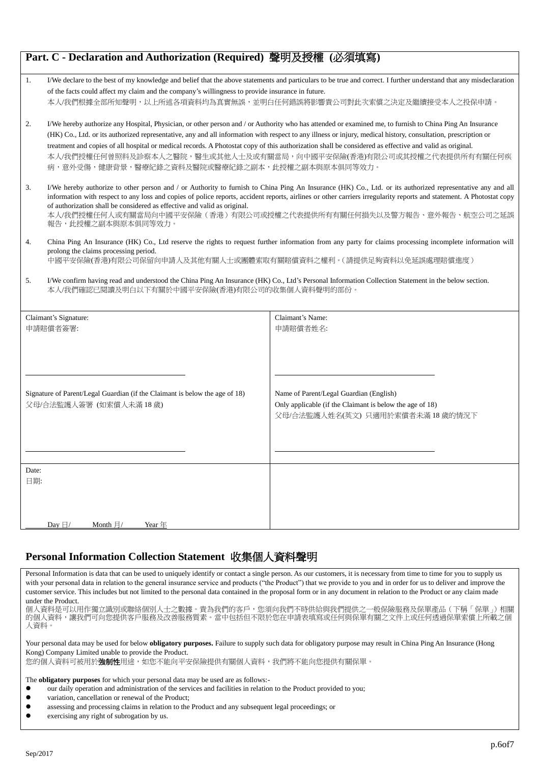| Part. C - Declaration and Authorization (Required) 聲明及授權 (必須填寫) |                                                                                                                                                                    |                                                                                                                                                                      |  |  |
|-----------------------------------------------------------------|--------------------------------------------------------------------------------------------------------------------------------------------------------------------|----------------------------------------------------------------------------------------------------------------------------------------------------------------------|--|--|
| 1.                                                              | I/We declare to the best of my knowledge and belief that the above statements and particulars to be true and correct. I further understand that any misdeclaration |                                                                                                                                                                      |  |  |
|                                                                 | of the facts could affect my claim and the company's willingness to provide insurance in future.                                                                   |                                                                                                                                                                      |  |  |
|                                                                 |                                                                                                                                                                    | 本人/我們根據全部所知聲明,以上所述各項資料均為真實無誤,並明白任何錯誤將影響貴公司對此次索償之決定及繼續接受本人之投保申請。                                                                                                      |  |  |
| 2.                                                              |                                                                                                                                                                    | I/We hereby authorize any Hospital, Physician, or other person and / or Authority who has attended or examined me, to furnish to China Ping An Insurance             |  |  |
|                                                                 | (HK) Co., Ltd. or its authorized representative, any and all information with respect to any illness or injury, medical history, consultation, prescription or     |                                                                                                                                                                      |  |  |
|                                                                 | treatment and copies of all hospital or medical records. A Photostat copy of this authorization shall be considered as effective and valid as original.            |                                                                                                                                                                      |  |  |
|                                                                 | 病,意外受傷,健康背景,醫療紀錄之資料及醫院或醫療紀錄之副本,此授權之副本與原本俱同等效力。                                                                                                                     | 本人/我們授權任何曾照料及診察本人之醫院,醫生或其他人士及或有關當局,向中國平安保險(香港)有限公司或其授權之代表提供所有有關任何疾                                                                                                   |  |  |
|                                                                 |                                                                                                                                                                    |                                                                                                                                                                      |  |  |
| 3.                                                              |                                                                                                                                                                    | I/We hereby authorize to other person and / or Authority to furnish to China Ping An Insurance (HK) Co., Ltd. or its authorized representative any and all           |  |  |
|                                                                 |                                                                                                                                                                    | information with respect to any loss and copies of police reports, accident reports, airlines or other carriers irregularity reports and statement. A Photostat copy |  |  |
|                                                                 | of authorization shall be considered as effective and valid as original.                                                                                           | 本人/我們授權任何人或有關當局向中國平安保險(香港)有限公司或授權之代表提供所有有關任何損失以及警方報告、意外報告、航空公司之延誤                                                                                                    |  |  |
|                                                                 | 報告,此授權之副本與原本俱同等效力。                                                                                                                                                 |                                                                                                                                                                      |  |  |
| 4.                                                              |                                                                                                                                                                    | China Ping An Insurance (HK) Co., Ltd reserve the rights to request further information from any party for claims processing incomplete information will             |  |  |
|                                                                 | prolong the claims processing period.                                                                                                                              |                                                                                                                                                                      |  |  |
|                                                                 | 中國平安保險(香港)有限公司保留向申請人及其他有關人士或團體索取有關賠償資料之權利。(請提供足夠資料以免延誤處理賠償進度)                                                                                                      |                                                                                                                                                                      |  |  |
| 5.                                                              | I/We confirm having read and understood the China Ping An Insurance (HK) Co., Ltd's Personal Information Collection Statement in the below section.                |                                                                                                                                                                      |  |  |
|                                                                 | 本人/我們確認已閱讀及明白以下有關於中國平安保險(香港)有限公司的收集個人資料聲明的部份。                                                                                                                      |                                                                                                                                                                      |  |  |
|                                                                 |                                                                                                                                                                    |                                                                                                                                                                      |  |  |
|                                                                 | Claimant's Signature:                                                                                                                                              | Claimant's Name:                                                                                                                                                     |  |  |
|                                                                 | 申請賠償者簽署:                                                                                                                                                           | 申請賠償者姓名:                                                                                                                                                             |  |  |
|                                                                 |                                                                                                                                                                    |                                                                                                                                                                      |  |  |
|                                                                 |                                                                                                                                                                    |                                                                                                                                                                      |  |  |
|                                                                 |                                                                                                                                                                    |                                                                                                                                                                      |  |  |
|                                                                 |                                                                                                                                                                    |                                                                                                                                                                      |  |  |
|                                                                 | Signature of Parent/Legal Guardian (if the Claimant is below the age of 18)                                                                                        | Name of Parent/Legal Guardian (English)                                                                                                                              |  |  |
|                                                                 | 父母/合法監護人簽署(如索償人未滿18歲)                                                                                                                                              | Only applicable (if the Claimant is below the age of 18)                                                                                                             |  |  |
|                                                                 |                                                                                                                                                                    | 父母/合法監護人姓名(英文) 只適用於索償者未滿 18 歲的情況下                                                                                                                                    |  |  |
|                                                                 |                                                                                                                                                                    |                                                                                                                                                                      |  |  |
|                                                                 |                                                                                                                                                                    |                                                                                                                                                                      |  |  |
|                                                                 |                                                                                                                                                                    |                                                                                                                                                                      |  |  |
| Date:                                                           |                                                                                                                                                                    |                                                                                                                                                                      |  |  |
| 日期:                                                             |                                                                                                                                                                    |                                                                                                                                                                      |  |  |
|                                                                 |                                                                                                                                                                    |                                                                                                                                                                      |  |  |
|                                                                 |                                                                                                                                                                    |                                                                                                                                                                      |  |  |
|                                                                 | Month $\frac{1}{2}$ /<br>Day $\boxdot/$<br>Year $#$                                                                                                                |                                                                                                                                                                      |  |  |
|                                                                 |                                                                                                                                                                    |                                                                                                                                                                      |  |  |

# **Personal Information Collection Statement** 收集個人資料聲明

Personal Information is data that can be used to uniquely identify or contact a single person. As our customers, it is necessary from time to time for you to supply us with your personal data in relation to the general insurance service and products ("the Product") that we provide to you and in order for us to deliver and improve the customer service. This includes but not limited to the personal data contained in the proposal form or in any document in relation to the Product or any claim made under the Product.

------ --- ---------<br>個人資料是可以用作獨立識別或聯絡個別人士之數據。貴為我們的客戶,您須向我們不時供給與我們提供之一般保險服務及保單產品(下稱「保單」)相關 的個人資料,讓我們可向您提供客戶服務及改善服務質素。當中包括但不限於您在申請表填寫或任何與保單有關之文件上或任何透過保單索償上所載之個 人資料。

Your personal data may be used for below **obligatory purposes.** Failure to supply such data for obligatory purpose may result in China Ping An Insurance (Hong Kong) Company Limited unable to provide the Product.

您的個人資料可被用於**強制性**用途,如您不能向平安保險提供有關個人資料,我們將不能向您提供有關保單。

The **obligatory purposes** for which your personal data may be used are as follows:-

- our daily operation and administration of the services and facilities in relation to the Product provided to you;
- variation, cancellation or renewal of the Product;
- **assessing and processing claims in relation to the Product and any subsequent legal proceedings; or** assessing any right of subsequent legal proceedings; or
- exercising any right of subrogation by us.